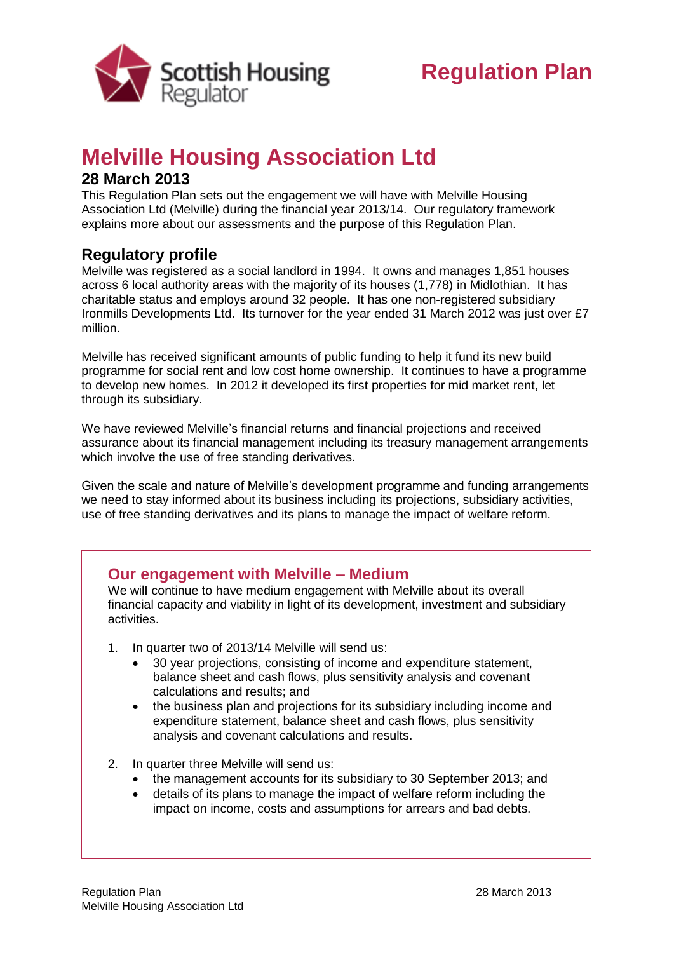

## **Melville Housing Association Ltd**

## **28 March 2013**

This Regulation Plan sets out the engagement we will have with Melville Housing Association Ltd (Melville) during the financial year 2013/14. Our regulatory framework explains more about our assessments and the purpose of this Regulation Plan.

## **Regulatory profile**

Melville was registered as a social landlord in 1994. It owns and manages 1,851 houses across 6 local authority areas with the majority of its houses (1,778) in Midlothian. It has charitable status and employs around 32 people. It has one non-registered subsidiary Ironmills Developments Ltd. Its turnover for the year ended 31 March 2012 was just over £7 million.

Melville has received significant amounts of public funding to help it fund its new build programme for social rent and low cost home ownership. It continues to have a programme to develop new homes. In 2012 it developed its first properties for mid market rent, let through its subsidiary.

We have reviewed Melville's financial returns and financial projections and received assurance about its financial management including its treasury management arrangements which involve the use of free standing derivatives.

Given the scale and nature of Melville's development programme and funding arrangements we need to stay informed about its business including its projections, subsidiary activities, use of free standing derivatives and its plans to manage the impact of welfare reform.

## **Our engagement with Melville – Medium**

We will continue to have medium engagement with Melville about its overall financial capacity and viability in light of its development, investment and subsidiary activities.

- 1. In quarter two of 2013/14 Melville will send us:
	- 30 year projections, consisting of income and expenditure statement, balance sheet and cash flows, plus sensitivity analysis and covenant calculations and results; and
	- the business plan and projections for its subsidiary including income and expenditure statement, balance sheet and cash flows, plus sensitivity analysis and covenant calculations and results.
- 2. In quarter three Melville will send us:
	- the management accounts for its subsidiary to 30 September 2013; and
	- details of its plans to manage the impact of welfare reform including the impact on income, costs and assumptions for arrears and bad debts.